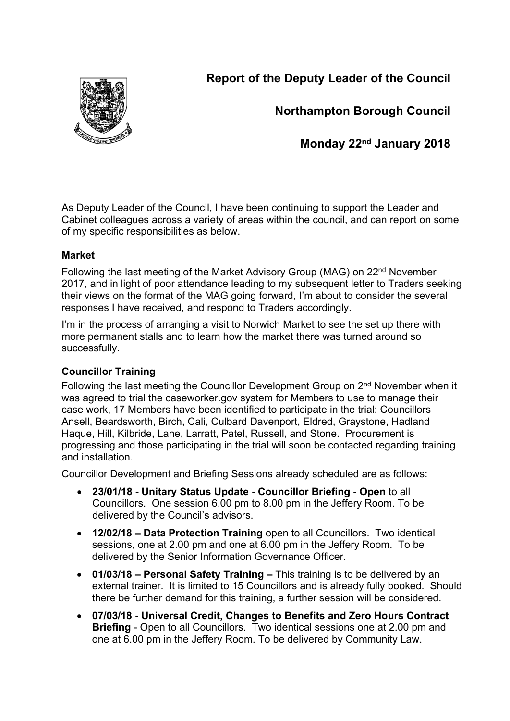**Report of the Deputy Leader of the Council**



**Northampton Borough Council**

**Monday 22nd January 2018**

As Deputy Leader of the Council, I have been continuing to support the Leader and Cabinet colleagues across a variety of areas within the council, and can report on some of my specific responsibilities as below.

# **Market**

Following the last meeting of the Market Advisory Group (MAG) on 22nd November 2017, and in light of poor attendance leading to my subsequent letter to Traders seeking their views on the format of the MAG going forward, I'm about to consider the several responses I have received, and respond to Traders accordingly.

I'm in the process of arranging a visit to Norwich Market to see the set up there with more permanent stalls and to learn how the market there was turned around so successfully.

# **Councillor Training**

Following the last meeting the Councillor Development Group on 2<sup>nd</sup> November when it was agreed to trial the caseworker.gov system for Members to use to manage their case work, 17 Members have been identified to participate in the trial: Councillors Ansell, Beardsworth, Birch, Cali, Culbard Davenport, Eldred, Graystone, Hadland Haque, Hill, Kilbride, Lane, Larratt, Patel, Russell, and Stone. Procurement is progressing and those participating in the trial will soon be contacted regarding training and installation.

Councillor Development and Briefing Sessions already scheduled are as follows:

- **23/01/18 - Unitary Status Update - Councillor Briefing Open** to all Councillors. One session 6.00 pm to 8.00 pm in the Jeffery Room. To be delivered by the Council's advisors.
- **12/02/18 – Data Protection Training** open to all Councillors. Two identical sessions, one at 2.00 pm and one at 6.00 pm in the Jeffery Room. To be delivered by the Senior Information Governance Officer.
- **01/03/18 – Personal Safety Training –** This training is to be delivered by an external trainer. It is limited to 15 Councillors and is already fully booked. Should there be further demand for this training, a further session will be considered.
- **07/03/18 - Universal Credit, Changes to Benefits and Zero Hours Contract Briefing** - Open to all Councillors. Two identical sessions one at 2.00 pm and one at 6.00 pm in the Jeffery Room. To be delivered by Community Law.